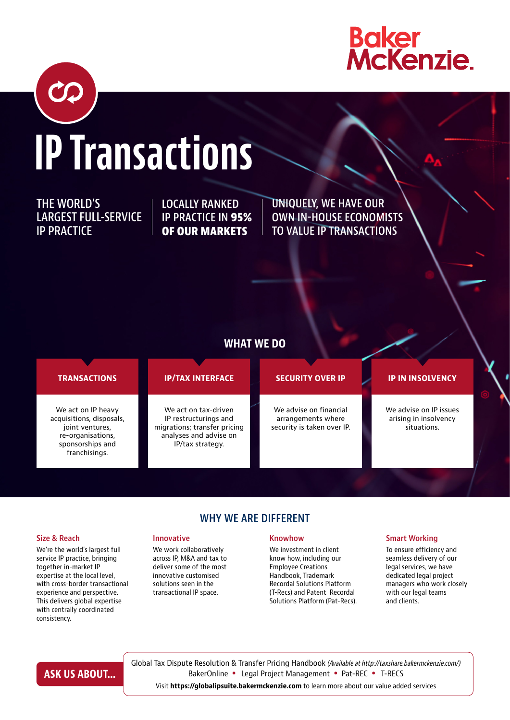

# IP Transactions

THE WORLD'S LARGEST FULL-SERVICE IP PRACTICE

LOCALLY RANKED IP PRACTICE IN 95% OF OUR MARKETS

UNIQUELY, WE HAVE OUR OWN IN-HOUSE ECONOMISTS TO VALUE IP TRANSACTIONS

### WHAT WE DO

#### We act on IP heavy acquisitions, disposals, joint ventures, re-organisations, sponsorships and franchisings. We advise on IP issues arising in insolvency situations. We act on tax-driven IP restructurings and migrations; transfer pricing analyses and advise on IP/tax strategy. We advise on financial arrangements where security is taken over IP. TRANSACTIONS IP/TAX INTERFACE SECURITY OVER IP IP IN INSOLVENCY

WHY WE ARE DIFFERENT

#### Size & Reach

We're the world's largest full service IP practice, bringing together in-market IP expertise at the local level, with cross-border transactional experience and perspective. This delivers global expertise with centrally coordinated consistency.

#### Innovative

We work collaboratively across IP, M&A and tax to deliver some of the most innovative customised solutions seen in the transactional IP space.

#### Knowhow

We investment in client know how, including our Employee Creations Handbook, Trademark Recordal Solutions Platform (T-Recs) and Patent Recordal Solutions Platform (Pat-Recs).

#### Smart Working

To ensure efficiency and seamless delivery of our legal services, we have dedicated legal project managers who work closely with our legal teams and clients.

# ASK US ABOUT...

Global Tax Dispute Resolution & Transfer Pricing Handbook *(Available at http://taxshare.bakermckenzie.com/)* BakerOnline • Legal Project Management • Pat-REC • T-RECS

Visit https://globalipsuite.bakermckenzie.com to learn more about our value added services